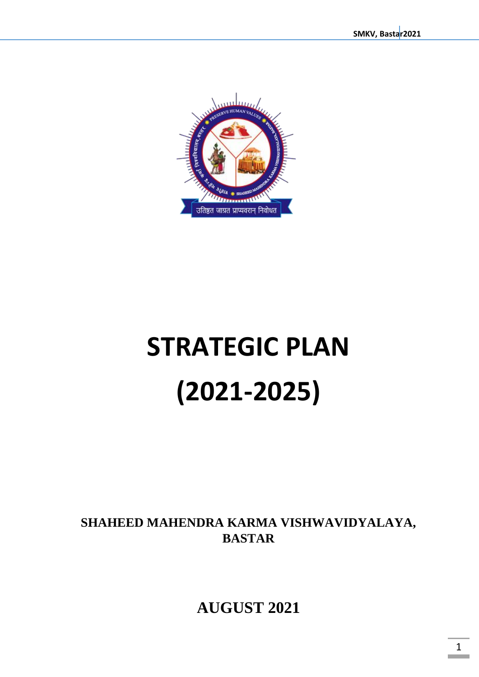

# **STRATEGIC PLAN (2021-2025)**

**SHAHEED MAHENDRA KARMA VISHWAVIDYALAYA, BASTAR** 

**AUGUST 2021**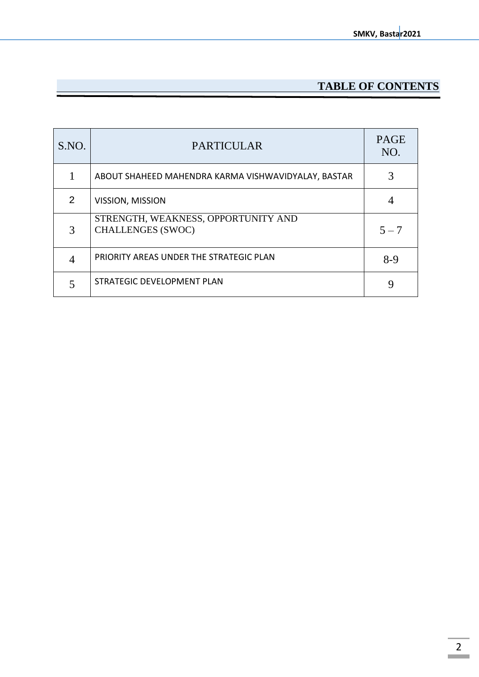## **TABLE OF CONTENTS**

| S.NO. | <b>PARTICULAR</b>                                               | <b>PAGE</b><br>NO. |
|-------|-----------------------------------------------------------------|--------------------|
|       | ABOUT SHAHEED MAHENDRA KARMA VISHWAVIDYALAY, BASTAR             |                    |
| 2     | VISSION, MISSION                                                |                    |
| 3     | STRENGTH, WEAKNESS, OPPORTUNITY AND<br><b>CHALLENGES (SWOC)</b> | $5 - 7$            |
|       | PRIORITY AREAS UNDER THE STRATEGIC PLAN                         | $8-9$              |
|       | STRATEGIC DEVELOPMENT PLAN                                      |                    |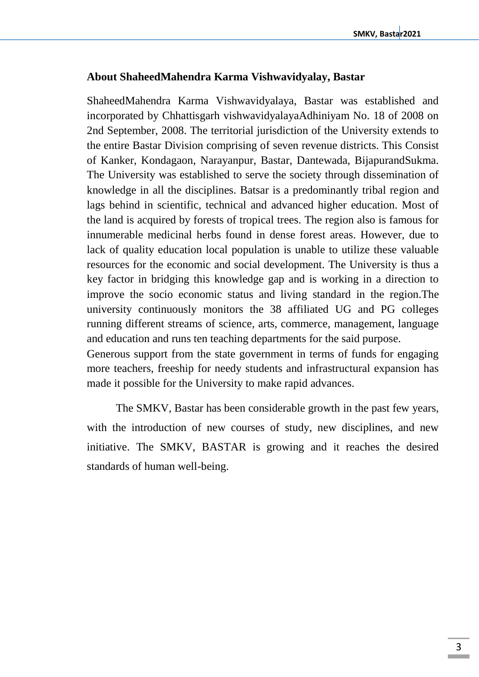#### **About ShaheedMahendra Karma Vishwavidyalay, Bastar**

ShaheedMahendra Karma Vishwavidyalaya, Bastar was established and incorporated by Chhattisgarh vishwavidyalayaAdhiniyam No. 18 of 2008 on 2nd September, 2008. The territorial jurisdiction of the University extends to the entire Bastar Division comprising of seven revenue districts. This Consist of Kanker, Kondagaon, Narayanpur, Bastar, Dantewada, BijapurandSukma. The University was established to serve the society through dissemination of knowledge in all the disciplines. Batsar is a predominantly tribal region and lags behind in scientific, technical and advanced higher education. Most of the land is acquired by forests of tropical trees. The region also is famous for innumerable medicinal herbs found in dense forest areas. However, due to lack of quality education local population is unable to utilize these valuable resources for the economic and social development. The University is thus a key factor in bridging this knowledge gap and is working in a direction to improve the socio economic status and living standard in the region.The university continuously monitors the 38 affiliated UG and PG colleges running different streams of science, arts, commerce, management, language and education and runs ten teaching departments for the said purpose.

Generous support from the state government in terms of funds for engaging more teachers, freeship for needy students and infrastructural expansion has made it possible for the University to make rapid advances.

The SMKV, Bastar has been considerable growth in the past few years, with the introduction of new courses of study, new disciplines, and new initiative. The SMKV, BASTAR is growing and it reaches the desired standards of human well-being.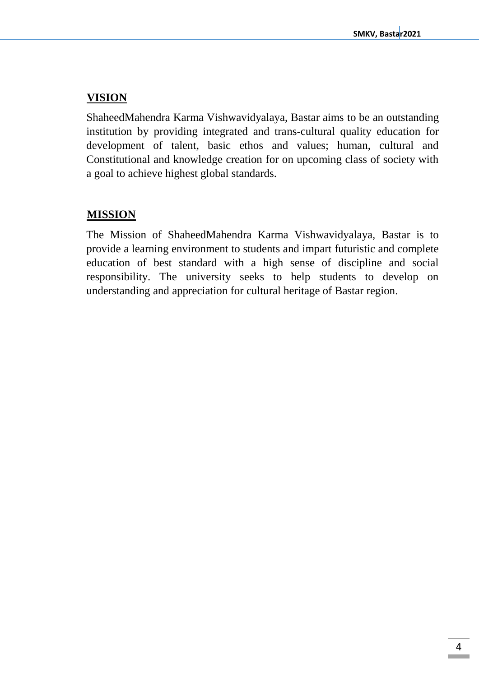## **VISION**

ShaheedMahendra Karma Vishwavidyalaya, Bastar aims to be an outstanding institution by providing integrated and trans-cultural quality education for development of talent, basic ethos and values; human, cultural and Constitutional and knowledge creation for on upcoming class of society with a goal to achieve highest global standards.

## **MISSION**

The Mission of ShaheedMahendra Karma Vishwavidyalaya, Bastar is to provide a learning environment to students and impart futuristic and complete education of best standard with a high sense of discipline and social responsibility. The university seeks to help students to develop on understanding and appreciation for cultural heritage of Bastar region.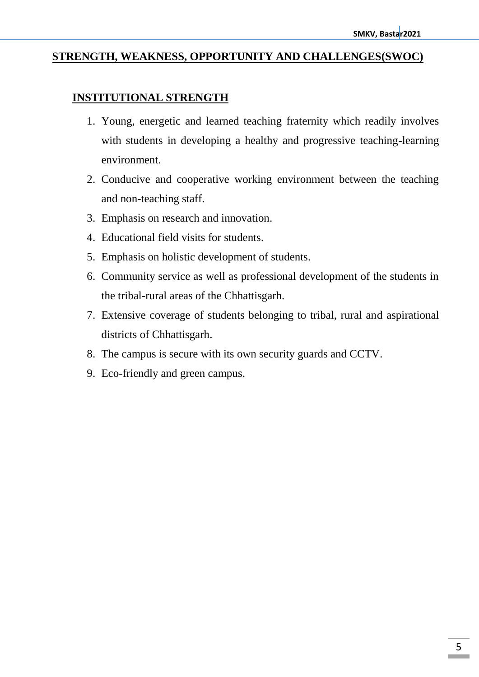#### **STRENGTH, WEAKNESS, OPPORTUNITY AND CHALLENGES(SWOC)**

#### **INSTITUTIONAL STRENGTH**

- 1. Young, energetic and learned teaching fraternity which readily involves with students in developing a healthy and progressive teaching-learning environment.
- 2. Conducive and cooperative working environment between the teaching and non-teaching staff.
- 3. Emphasis on research and innovation.
- 4. Educational field visits for students.
- 5. Emphasis on holistic development of students.
- 6. Community service as well as professional development of the students in the tribal-rural areas of the Chhattisgarh.
- 7. Extensive coverage of students belonging to tribal, rural and aspirational districts of Chhattisgarh.
- 8. The campus is secure with its own security guards and CCTV.
- 9. Eco-friendly and green campus.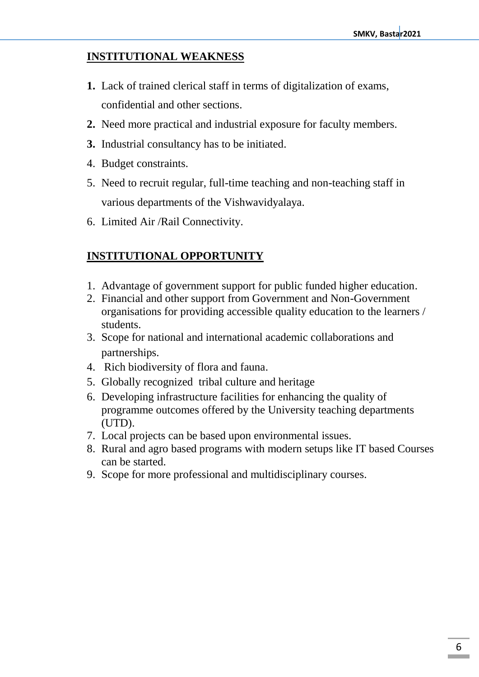#### **INSTITUTIONAL WEAKNESS**

- **1.** Lack of trained clerical staff in terms of digitalization of exams, confidential and other sections.
- **2.** Need more practical and industrial exposure for faculty members.
- **3.** Industrial consultancy has to be initiated.
- 4. Budget constraints.
- 5. Need to recruit regular, full-time teaching and non-teaching staff in various departments of the Vishwavidyalaya.
- 6. Limited Air /Rail Connectivity.

## **INSTITUTIONAL OPPORTUNITY**

- 1. Advantage of government support for public funded higher education.
- 2. Financial and other support from Government and Non-Government organisations for providing accessible quality education to the learners / students.
- 3. Scope for national and international academic collaborations and partnerships.
- 4. Rich biodiversity of flora and fauna.
- 5. Globally recognized tribal culture and heritage
- 6. Developing infrastructure facilities for enhancing the quality of programme outcomes offered by the University teaching departments (UTD).
- 7. Local projects can be based upon environmental issues.
- 8. Rural and agro based programs with modern setups like IT based Courses can be started.
- 9. Scope for more professional and multidisciplinary courses.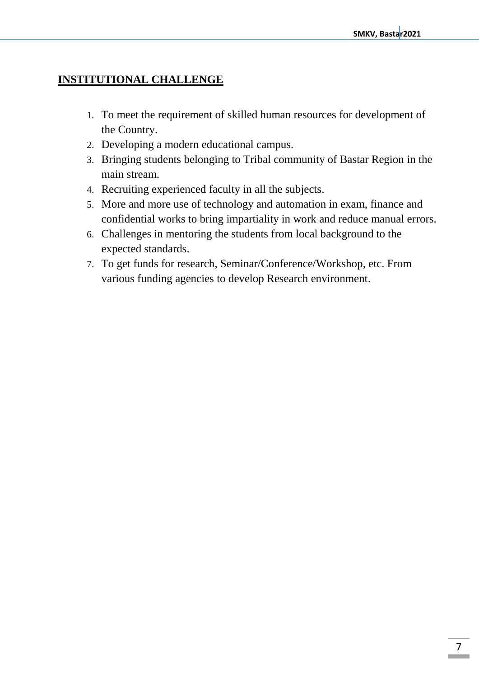## **INSTITUTIONAL CHALLENGE**

- 1. To meet the requirement of skilled human resources for development of the Country.
- 2. Developing a modern educational campus.
- 3. Bringing students belonging to Tribal community of Bastar Region in the main stream.
- 4. Recruiting experienced faculty in all the subjects.
- 5. More and more use of technology and automation in exam, finance and confidential works to bring impartiality in work and reduce manual errors.
- 6. Challenges in mentoring the students from local background to the expected standards.
- 7. To get funds for research, Seminar/Conference/Workshop, etc. From various funding agencies to develop Research environment.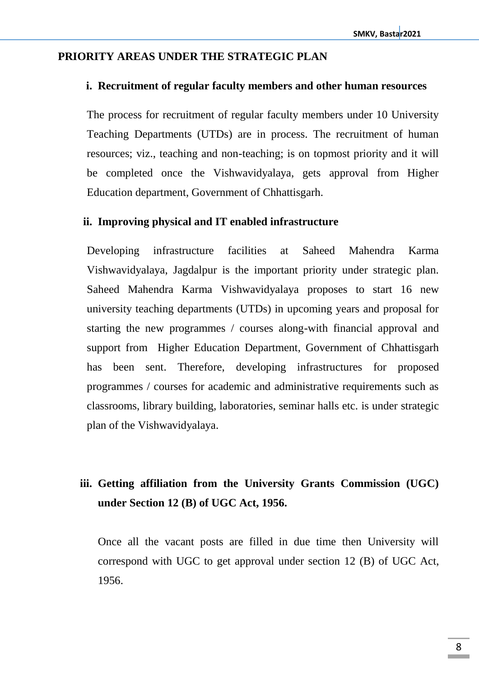#### **PRIORITY AREAS UNDER THE STRATEGIC PLAN**

#### **i. Recruitment of regular faculty members and other human resources**

The process for recruitment of regular faculty members under 10 University Teaching Departments (UTDs) are in process. The recruitment of human resources; viz., teaching and non-teaching; is on topmost priority and it will be completed once the Vishwavidyalaya, gets approval from Higher Education department, Government of Chhattisgarh.

#### **ii. Improving physical and IT enabled infrastructure**

Developing infrastructure facilities at Saheed Mahendra Karma Vishwavidyalaya, Jagdalpur is the important priority under strategic plan. Saheed Mahendra Karma Vishwavidyalaya proposes to start 16 new university teaching departments (UTDs) in upcoming years and proposal for starting the new programmes / courses along-with financial approval and support from Higher Education Department, Government of Chhattisgarh has been sent. Therefore, developing infrastructures for proposed programmes / courses for academic and administrative requirements such as classrooms, library building, laboratories, seminar halls etc. is under strategic plan of the Vishwavidyalaya.

# **iii. Getting affiliation from the University Grants Commission (UGC) under Section 12 (B) of UGC Act, 1956.**

Once all the vacant posts are filled in due time then University will correspond with UGC to get approval under section 12 (B) of UGC Act, 1956.